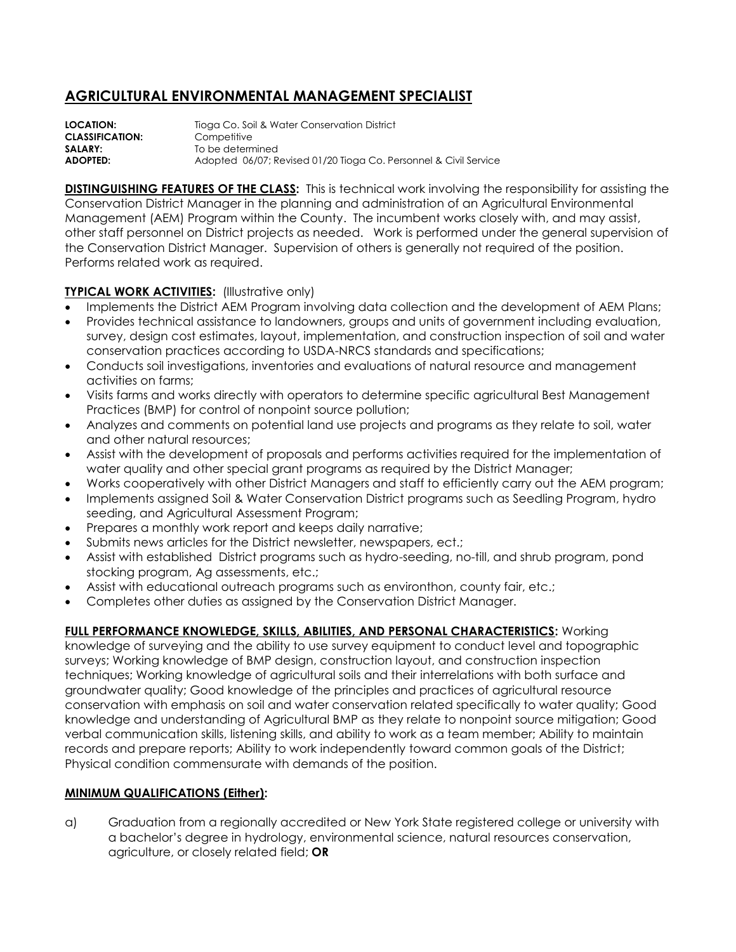## **AGRICULTURAL ENVIRONMENTAL MANAGEMENT SPECIALIST**

**LOCATION:** Tioga Co. Soil & Water Conservation District **CLASSIFICATION:** Competitive **SALARY:** To be determined **ADOPTED:** Adopted 06/07; Revised 01/20 Tioga Co. Personnel & Civil Service

**DISTINGUISHING FEATURES OF THE CLASS:** This is technical work involving the responsibility for assisting the Conservation District Manager in the planning and administration of an Agricultural Environmental Management (AEM) Program within the County. The incumbent works closely with, and may assist, other staff personnel on District projects as needed. Work is performed under the general supervision of the Conservation District Manager. Supervision of others is generally not required of the position. Performs related work as required.

## **TYPICAL WORK ACTIVITIES:** (Illustrative only)

- Implements the District AEM Program involving data collection and the development of AEM Plans;
- Provides technical assistance to landowners, groups and units of government including evaluation, survey, design cost estimates, layout, implementation, and construction inspection of soil and water conservation practices according to USDA-NRCS standards and specifications;
- Conducts soil investigations, inventories and evaluations of natural resource and management activities on farms;
- Visits farms and works directly with operators to determine specific agricultural Best Management Practices (BMP) for control of nonpoint source pollution;
- Analyzes and comments on potential land use projects and programs as they relate to soil, water and other natural resources;
- Assist with the development of proposals and performs activities required for the implementation of water quality and other special grant programs as required by the District Manager;
- Works cooperatively with other District Managers and staff to efficiently carry out the AEM program;
- Implements assigned Soil & Water Conservation District programs such as Seedling Program, hydro seeding, and Agricultural Assessment Program;
- Prepares a monthly work report and keeps daily narrative;
- Submits news articles for the District newsletter, newspapers, ect.;
- Assist with established District programs such as hydro-seeding, no-till, and shrub program, pond stocking program, Ag assessments, etc.;
- Assist with educational outreach programs such as environthon, county fair, etc.;
- Completes other duties as assigned by the Conservation District Manager.

## **FULL PERFORMANCE KNOWLEDGE, SKILLS, ABILITIES, AND PERSONAL CHARACTERISTICS:** Working

knowledge of surveying and the ability to use survey equipment to conduct level and topographic surveys; Working knowledge of BMP design, construction layout, and construction inspection techniques; Working knowledge of agricultural soils and their interrelations with both surface and groundwater quality; Good knowledge of the principles and practices of agricultural resource conservation with emphasis on soil and water conservation related specifically to water quality; Good knowledge and understanding of Agricultural BMP as they relate to nonpoint source mitigation; Good verbal communication skills, listening skills, and ability to work as a team member; Ability to maintain records and prepare reports; Ability to work independently toward common goals of the District; Physical condition commensurate with demands of the position.

## **MINIMUM QUALIFICATIONS (Either):**

a) Graduation from a regionally accredited or New York State registered college or university with a bachelor's degree in hydrology, environmental science, natural resources conservation, agriculture, or closely related field; **OR**